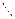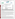# **THE ENVIRONMENTAL TECHNOLOGY VERIFICATION PROGRAM**  FT<sup>K</sup>



**Battelle** The Business of Innovation

## **ETV Joint Verification Statement**

| <b>TECHNOLOGY TYPE: Atrazine Test Kit</b>  |                                                                                                                  |  |  |  |
|--------------------------------------------|------------------------------------------------------------------------------------------------------------------|--|--|--|
| <b>APPLICATION:</b>                        | ANALYSIS OF ATRAZINE IN WATER                                                                                    |  |  |  |
| <b>TECHNOLOGY NAME: Atrazine ELISA Kit</b> |                                                                                                                  |  |  |  |
| <b>COMPANY:</b>                            | Abraxis LLC                                                                                                      |  |  |  |
| <b>ADDRESS:</b>                            | <b>54 Steamwhistle Drive</b><br>PHONE: (215) 357-3911<br>$(215)$ 357-5232<br><b>FAX:</b><br>Warminster, PA 18974 |  |  |  |
| <b>WEB SITE:</b><br><b>EMAIL:</b>          | www.abraxiskits.com<br>info@abraxiskits.com                                                                      |  |  |  |

The U.S. Environmental Protection Agency (EPA) has created the Environmental Technology Verification (ETV) Program to facilitate the deployment of innovative or improved environmental technologies through performance verification and dissemination of information. The goal of the ETV Program is to further environmental protection by accelerating the acceptance and use of improved and cost-effective technologies. ETV seeks to achieve this goal by providing high-quality, peer-reviewed data on technology performance to those involved in the design, distribution, financing, permitting, purchase, and use of environmental technologies. Information and ETV documents are available at www.epa.gov/etv.

ETV works in partnership with recognized standards and testing organizations; with stakeholder groups that consist of buyers, vendor organizations, and permitters; and with the full participation of individual technology developers. The program evaluates the performance of innovative technologies by developing test plans that are responsive to the needs of stakeholders, conducting field or laboratory tests (as appropriate), collecting and analyzing data, and preparing peer-reviewed reports. All evaluations are conducted in accordance with rigorous quality assurance (QA) protocols to ensure that data of known and adequate quality are generated and that the results are defensible.

The Advanced Monitoring Systems (AMS) Center, one of seven technology areas under ETV, is operated by Battelle in cooperation with EPA's National Exposure Research Laboratory. The AMS Center recently evaluated the performance of test kits for the analysis of atrazine in water. This verification statement provides a summary of the test results for the Abraxis LLC Atrazine ELISA Kit for measuring atrazine.

### **VERIFICATION TEST DESCRIPTION**

The Atrazine ELISA Kit was verified in terms of its performance on the following parameters: accuracy, precision, linearity, method detection limit (MDL), cross-reactivity of hydroxylatrazine and desethyl atrazine, matrix interference effects, and rate of false positives/false negatives. Qualitative factors including ease of use, reliability, and sample throughput were also evaluated. All preparation and analyses were performed according to the manufacturer's recommended procedures. The verification test involved challenging the Atrazine ELISA Kit with seven performance test (PT) samples and four types of environmental samples. The PT samples consisted of ASTM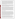Type I water samples fortified with atrazine or an atrazine degradation product. Five of the PT samples contained atrazine at concentrations ranging from 0.1 to 5 parts per billion (ppb), and two of the PT samples contained 3 ppb of a cross-reactive compound, but no atrazine. Four types of environmental samples also were analyzed: fresh pond water, brackish pond water, groundwater, and chlorinated drinking water. Environmental samples were filtered prior to test kit analysis. The background atrazine concentration in each environmental sample was less than 0.062 ppb. Each environmental sample was fortified in the laboratory at concentrations of 1 ppb and 3 ppb atrazine. All laboratory-fortified samples were prepared using certified, commercially available standards. All samples were analyzed by the Atrazine ELISA Kit and by gas chromatography/mass spectrometry (GC/MS) according to modified EPA Method 525.2. Each sample was analyzed in triplicate using the test kit (seven replicates of the MDL sample were analyzed). Samples were given to the analyst blind and in random order.

The verification test was conducted in September 2003 at the Battelle laboratory in Duxbury, Massachusetts. Environmental samples were provided by the National Oceanic and Atmospheric Administration, National Ocean Service's Center for Coastal Environmental Health and Biomolecular Research Center at Charleston, and the University of Missouri - Rolla. Reference laboratory analyses were provided by the EPA's Office of Pesticide Programs, Environmental Chemistry Branch at the John C. Stennis Space Center. Test kit analyses were conducted by the Texas Commission on Environmental Quality.

The Atrazine ELISA Kit and reference method results were used to assess accuracy and linearity. Replicate sample results were used to assess precision. Results for replicates of a low-level spiked sample were used to evaluate the MDL. Cross-reactivity of hydroxyatrazine and desethyl atrazine were assessed by evaluating the Atrazine ELISA Kit results for samples that contained only one degradation compound, but not atrazine. Potential matrix effects were assessed by comparing accuracy and precision results for environmental samples (i.e., chlorinated drinking water, fresh surface water, brackish surface water, and groundwater) to those for ASTM Type I water samples. Performance parameters, such as ease of use and reliability, were based on documented observations of the analyst. Sample throughput was estimated based on the time required to analyze a sample set. QA oversight of verification testing was provided by Battelle and EPA. Battelle QA staff conducted a data quality audit of 10% of the test data, a performance evaluation audit, and a technical systems audit of the procedures used in this verification. This verification statement, the full report on which it is based, and the test/QA plan for this verification are all available at www.epa.gov/etv/centers/center1.html.

#### **TECHNOLOGY DESCRIPTION**

The following description of the Atrazine ELISA Kit is based on information provided by the vendor. This information was not verified in this test. The Atrazine ELISA Kit applies the principle of enzyme-linked immunosorbent assay (ELISA) to determine atrazine in water samples. The Atrazine ELISA Kit uses a colorimetric procedure to detect atrazine. A sample and an enzyme conjugate are added to a disposable test tube, followed by atrazine antibodies attached covalently to paramagnetic particles. Any atrazine that may be in the sample competes with the atrazine enzyme label conjugate for a finite number of antibody binding sites. At the end of a 15-minute incubation period, a magnetic field is applied; and atrazine and labeled-atrazine bind to the antibodies on the paramagnetic particles in proportion to their original concentration. Unbound reagents are decanted. After decanting, the particles are washed with a washing solution. A substrate is added and enzymatically converted from a colorless to a blue solution until terminated by acidification. The atrazine concentration is determined by measuring the absorbance of the sample solution with a photometer and comparing it to the absorbance of the standards. The calibration range of the test kit is 0.1 ppb to 5 ppb atrazine. The vendor-stated detection limit of the test kit is 0.05 ppb atrazine.

The Atrazine ELISA Kit contains a vial of atrazine antibody (rabbit anti-atrazine covalently bound to paramagnetic particles suspended in a buffered solution with preservative and stabilizers), a vial of horseradish peroxidase-labeled atrazine analog diluted in a buffered solution with preservative and stabilizers, three vials of atrazine standard concentrations with preservative and stabilizers, a vial of concentrated atrazine  $(3 \pm 0.6$  parts per billion [ppb]) with preservative and stabilizers, a vial of an atrazine-free solution with preservative and stabilizers for use as a zero standard, a vial of a hydrogen peroxide and 3,3',5,5' tetramethylbenzidine solution in an organic base, a vial of diluted acid, a vial of preserved deionized water,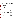and five bags of 22 polystyrene tubes. The Atrazine ELISA Kit is 14 by 6-¼ by 3-½ inches. Final results and calibration curves are printed out on the photometric analyzer or sent directly to a lab computer. List price is \$350 for a 100-test kit. Other materials that are required but are not provided with the Atrazine ELISA Kit are pipettes, a vortex mixer, a magnetic separation system, and a photometer capable of readings at 450 nanometers (nm). These materials can be purchased separately or rented.

#### **VERIFICATION OF PERFORMANCE**

Quantitative performance results for all parameters except ease of use, reliability, and sample throughput are summarized in the following table:

| <b>Parameter</b>                        | <b>Performance Results</b>       | <b>Comments</b>             |
|-----------------------------------------|----------------------------------|-----------------------------|
| Accuracy (percent recovery)             |                                  |                             |
| PT samples, $0.1 - 5$ ppb atrazine      | 102% to 127%; average 120%       |                             |
| Environmental samples: 1 ppb and        |                                  |                             |
| 3 ppb atrazine-fortified, respectively: |                                  |                             |
| Fresh pond water                        | 130% and 102%                    | Background atrazine         |
| Brackish pond water                     | 110% and 107%                    | concentrations in all       |
| Groundwater                             | 111% and 100%                    | environmental samples       |
| Chlorinated drinking water              | 140% and 122%                    | were $<$ 0.062 ppb.         |
| Precision (relative standard deviation) |                                  |                             |
| PT samples, $0.1 - 5$ ppb atrazine and  | 6.9% to 24.1%; average 13%       |                             |
| cross-reactivity samples                |                                  |                             |
| Environmental samples: 1 ppb and        |                                  |                             |
| 3 ppb atrazine-fortified, respectively: |                                  |                             |
| Fresh pond water                        | 3.5% and 10.6%                   |                             |
| Brackish pond water                     | 15.2% and 7.1%                   |                             |
| Groundwater                             | 7.7% and 8.3%                    |                             |
| Chlorinated drinking water              | 3.7% and 11.1%                   |                             |
| Linearity                               |                                  |                             |
| Slope of regression equation            | 1.23                             | Results for PT samples      |
| y-intercept                             | $-0.025$                         | from $0.1$ ppb to 5 ppb     |
| Correlation coefficient (r)             | 0.9937                           | atrazine used to assess     |
|                                         |                                  | linearity.                  |
| <b>MDL</b>                              | 0.06 ppb atrazine                | Based on analysis of 0.1    |
|                                         |                                  | ppb atrazine spiked into    |
|                                         |                                  | <b>ASTM</b> Type I water    |
|                                         |                                  | sample (seven replicates).  |
| Cross-reactivity                        |                                  |                             |
| 3 ppb hydroxyatrazine                   | Average result 0.06 ppb atrazine | Cross-reactivity samples    |
| 3 ppb desethyl atrazine                 | Average result 0.25 ppb atrazine | did not contain atrazine.   |
| Matrix interference effects             | No apparent interferences from   |                             |
|                                         | matrices tested                  |                             |
| False positive results                  | 4 out of 38 results              | Evaluated relative to 0.1   |
|                                         |                                  | ppb atrazine (lowest        |
|                                         |                                  | calibration standard).      |
|                                         |                                  | Three of the four false     |
|                                         |                                  | positive results associated |
|                                         |                                  | with a sample containing    |
|                                         |                                  | an atrazine degradation     |
|                                         |                                  | product.                    |
| False negative results                  | None                             | Evaluated relative to 0.1   |
|                                         |                                  | ppb atrazine (lowest        |
|                                         |                                  | calibration standard).      |
|                                         |                                  | Three of these results      |
|                                         |                                  | associated with a sample    |
|                                         |                                  | containing an atrazine      |
|                                         |                                  | degradation product.        |